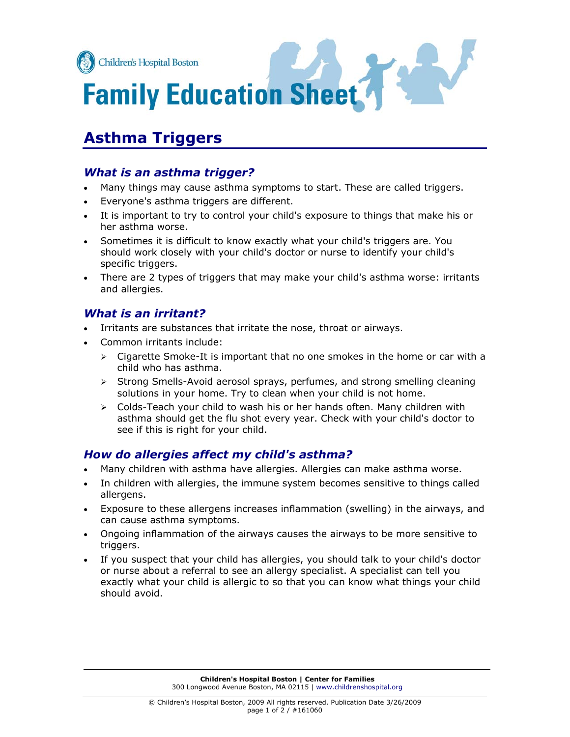

## **Asthma Triggers**

## *What is an asthma trigger?*

- Many things may cause asthma symptoms to start. These are called triggers.
- Everyone's asthma triggers are different.
- ! It is important to try to control your child's exposure to things that make his or her asthma worse.
- ! Sometimes it is difficult to know exactly what your child's triggers are. You should work closely with your child's doctor or nurse to identify your child's specific triggers.
- There are 2 types of triggers that may make your child's asthma worse: irritants and allergies.

## *What is an irritant?*

- ! Irritants are substances that irritate the nose, throat or airways.
- ! Common irritants include:
	- $\triangleright$  Cigarette Smoke-It is important that no one smokes in the home or car with a child who has asthma.
	- $\triangleright$  Strong Smells-Avoid aerosol sprays, perfumes, and strong smelling cleaning solutions in your home. Try to clean when your child is not home.
	- $\geq$  Colds-Teach your child to wash his or her hands often. Many children with asthma should get the flu shot every year. Check with your child's doctor to see if this is right for your child.

## *How do allergies affect my child's asthma?*

- ! Many children with asthma have allergies. Allergies can make asthma worse.
- ! In children with allergies, the immune system becomes sensitive to things called allergens.
- ! Exposure to these allergens increases inflammation (swelling) in the airways, and can cause asthma symptoms.
- ! Ongoing inflammation of the airways causes the airways to be more sensitive to triggers.
- If you suspect that your child has allergies, you should talk to your child's doctor or nurse about a referral to see an allergy specialist. A specialist can tell you exactly what your child is allergic to so that you can know what things your child should avoid.

**Children's Hospital Boston | Center for Families**  300 Longwood Avenue Boston, MA 02115 | www.childrenshospital.org